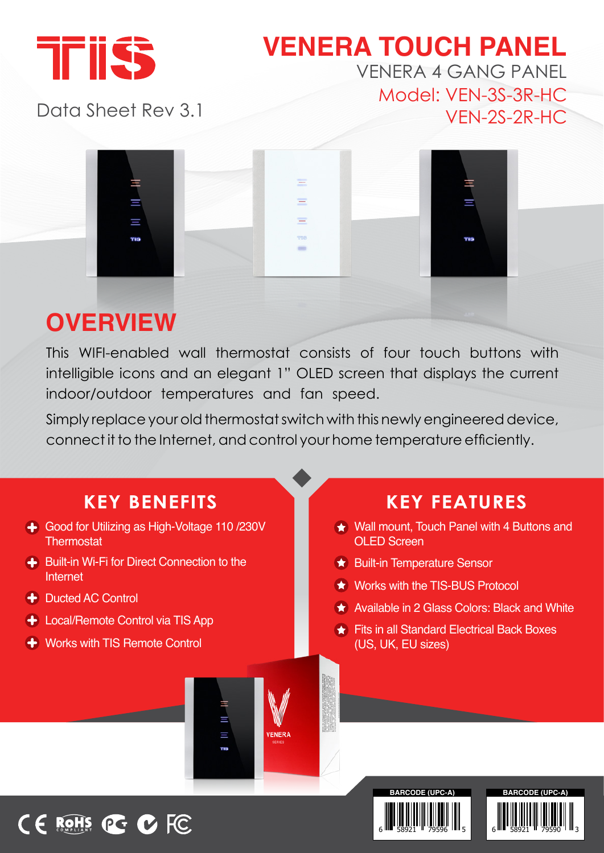

### **VENERA TOUCH PANEL** VENERA 4 GANG PANEL Model: VEN-3S-3R-HC  $VEN-2S-2R-HC$

Data Sheet Rev 3.1



# **OVERVIEW**

This WIFI-enabled wall thermostat consists of four touch buttons with intelligible icons and an elegant 1" OLED screen that displays the current indoor/outdoor temperatures and fan speed.

Simply replace your old thermostat switch with this newly engineered device, connect it to the Internet, and control your home temperature efficiently.



6 HH 58921 H 79590 LH 3

6 HH 58921 H 79596 HH 5

# CE ROHS PG C FC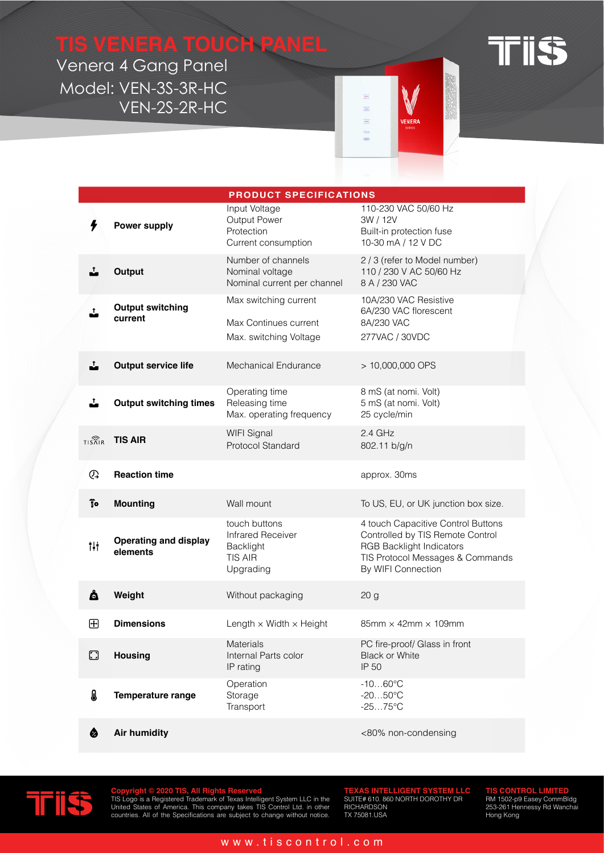## **TIS VENERA TOUCH PANEL**

Venera 4 Gang Panel Model: VEN-3S-3R-HC  $VEN-2S-2R-HC$ 

|  | ┳ |
|--|---|
|  |   |
|  |   |

|                           | <b>PRODUCT SPECIFICATIONS</b>            |                                                                                       |                                                                                                                                                                     |
|---------------------------|------------------------------------------|---------------------------------------------------------------------------------------|---------------------------------------------------------------------------------------------------------------------------------------------------------------------|
| ł                         | <b>Power supply</b>                      | Input Voltage<br>Output Power<br>Protection<br>Current consumption                    | 110-230 VAC 50/60 Hz<br>3W / 12V<br>Built-in protection fuse<br>10-30 mA / 12 V DC                                                                                  |
| Ĵ.                        | Output                                   | Number of channels<br>Nominal voltage<br>Nominal current per channel                  | 2 / 3 (refer to Model number)<br>110 / 230 V AC 50/60 Hz<br>8 A / 230 VAC                                                                                           |
| Ĵ                         | <b>Output switching</b><br>current       | Max switching current<br>Max Continues current<br>Max. switching Voltage              | 10A/230 VAC Resistive<br>6A/230 VAC florescent<br>8A/230 VAC<br>277VAC / 30VDC                                                                                      |
| Ĵ,                        | <b>Output service life</b>               | Mechanical Endurance                                                                  | > 10,000,000 OPS                                                                                                                                                    |
| ∸                         | <b>Output switching times</b>            | Operating time<br>Releasing time<br>Max. operating frequency                          | 8 mS (at nomi. Volt)<br>5 mS (at nomi. Volt)<br>25 cycle/min                                                                                                        |
| $TIS\widehat{R}IR$        | <b>TIS AIR</b>                           | WIFI Signal<br>Protocol Standard                                                      | $2.4$ GHz<br>802.11 b/g/n                                                                                                                                           |
| ଊ                         | <b>Reaction time</b>                     |                                                                                       | approx. 30ms                                                                                                                                                        |
| $\overline{\mathbf{s}}$ o | <b>Mounting</b>                          | Wall mount                                                                            | To US, EU, or UK junction box size.                                                                                                                                 |
| Ť.                        | <b>Operating and display</b><br>elements | touch buttons<br><b>Infrared Receiver</b><br>Backlight<br><b>TIS AIR</b><br>Upgrading | 4 touch Capacitive Control Buttons<br>Controlled by TIS Remote Control<br><b>RGB Backlight Indicators</b><br>TIS Protocol Messages & Commands<br>By WIFI Connection |
| å                         | Weight                                   | Without packaging                                                                     | 20 <sub>g</sub>                                                                                                                                                     |
| $\boxplus$                | <b>Dimensions</b>                        | Length $\times$ Width $\times$ Height                                                 | $85$ mm $\times$ 42mm $\times$ 109mm                                                                                                                                |
| $\Box$                    | <b>Housing</b>                           | Materials<br>Internal Parts color<br>IP rating                                        | PC fire-proof/ Glass in front<br><b>Black or White</b><br>IP 50                                                                                                     |
| ₿                         | <b>Temperature range</b>                 | Operation<br>Storage<br>Transport                                                     | $-1060^{\circ}C$<br>$-2050^{\circ}C$<br>$-2575^{\circ}$ C                                                                                                           |
| ♦                         | <b>Air humidity</b>                      |                                                                                       | <80% non-condensing                                                                                                                                                 |

 $\equiv$ Ξ  $\equiv$ 

Ľ

**CNCD** 



Copyright © 2020 TIS, All Rights Reserved<br>TIS Logo is a Registered Trademark of Texas Intelligent System LLC in the<br>United States of America. This company takes TIS Control Ltd. in other<br>countries. All of the Specification

**TEXAS INTELLIGENT SYSTEM LLC<br>SUITE# 610. 860 NORTH DOROTHY DR<br>RICHARDSON<br>TX 75081.USA** 

**TIS CONTROL LIMITED**<br>RM 1502-p9 Easey CommBldg<br>253-261 Hennessy Rd Wanchai<br>Hong Kong

### www.tiscontrol.com